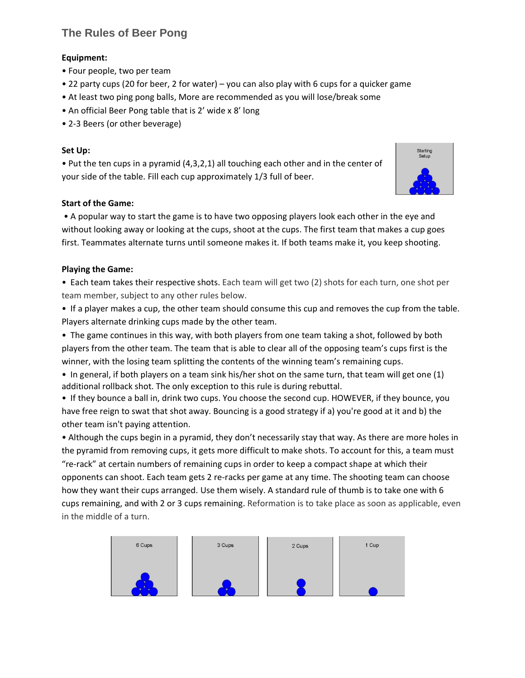# **The Rules of Beer Pong**

#### **Equipment:**

- Four people, two per team
- 22 party cups (20 for beer, 2 for water) you can also play with 6 cups for a quicker game
- At least two ping pong balls, More are recommended as you will lose/break some
- An official Beer Pong table that is 2' wide x 8' long
- 2-3 Beers (or other beverage)

#### **Set Up:**

• Put the ten cups in a pyramid (4,3,2,1) all touching each other and in the center of your side of the table. Fill each cup approximately 1/3 full of beer.

#### **Start of the Game:**

• A popular way to start the game is to have two opposing players look each other in the eye and without looking away or looking at the cups, shoot at the cups. The first team that makes a cup goes first. Teammates alternate turns until someone makes it. If both teams make it, you keep shooting.

#### **Playing the Game:**

• Each team takes their respective shots. Each team will get two (2) shots for each turn, one shot per team member, subject to any other rules below.

• If a player makes a cup, the other team should consume this cup and removes the cup from the table. Players alternate drinking cups made by the other team.

• The game continues in this way, with both players from one team taking a shot, followed by both players from the other team. The team that is able to clear all of the opposing team's cups first is the winner, with the losing team splitting the contents of the winning team's remaining cups.

• In general, if both players on a team sink his/her shot on the same turn, that team will get one (1) additional rollback shot. The only exception to this rule is during rebuttal.

• If they bounce a ball in, drink two cups. You choose the second cup. HOWEVER, if they bounce, you have free reign to swat that shot away. Bouncing is a good strategy if a) you're good at it and b) the other team isn't paying attention.

• Although the cups begin in a pyramid, they don't necessarily stay that way. As there are more holes in the pyramid from removing cups, it gets more difficult to make shots. To account for this, a team must "re-rack" at certain numbers of remaining cups in order to keep a compact shape at which their opponents can shoot. Each team gets 2 re-racks per game at any time. The shooting team can choose how they want their cups arranged. Use them wisely. A standard rule of thumb is to take one with 6 cups remaining, and with 2 or 3 cups remaining. Reformation is to take place as soon as applicable, even in the middle of a turn.